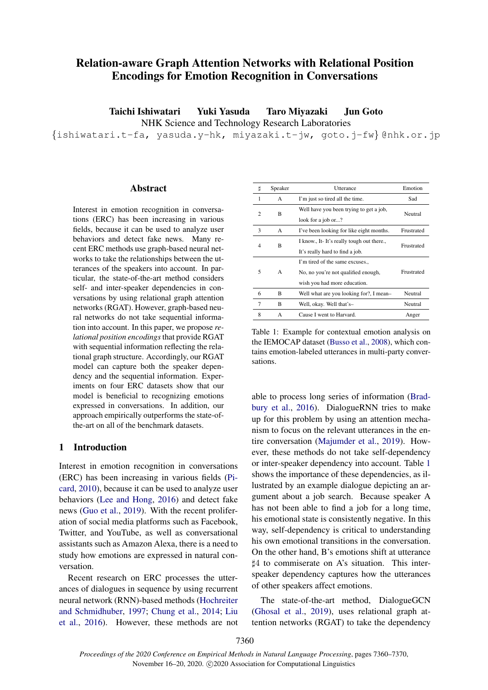# Relation-aware Graph Attention Networks with Relational Position Encodings for Emotion Recognition in Conversations

Taichi Ishiwatari Yuki Yasuda Taro Miyazaki Jun Goto

NHK Science and Technology Research Laboratories

{ishiwatari.t-fa, yasuda.y-hk, miyazaki.t-jw, goto.j-fw} @nhk.or.jp

#### Abstract

Interest in emotion recognition in conversations (ERC) has been increasing in various fields, because it can be used to analyze user behaviors and detect fake news. Many recent ERC methods use graph-based neural networks to take the relationships between the utterances of the speakers into account. In particular, the state-of-the-art method considers self- and inter-speaker dependencies in conversations by using relational graph attention networks (RGAT). However, graph-based neural networks do not take sequential information into account. In this paper, we propose *relational position encodings*that provide RGAT with sequential information reflecting the relational graph structure. Accordingly, our RGAT model can capture both the speaker dependency and the sequential information. Experiments on four ERC datasets show that our model is beneficial to recognizing emotions expressed in conversations. In addition, our approach empirically outperforms the state-ofthe-art on all of the benchmark datasets.

# 1 Introduction

Interest in emotion recognition in conversations (ERC) has been increasing in various fields [\(Pi](#page-9-0)[card,](#page-9-0) [2010\)](#page-9-0), because it can be used to analyze user behaviors [\(Lee and Hong,](#page-9-1) [2016\)](#page-9-1) and detect fake news [\(Guo et al.,](#page-9-2) [2019\)](#page-9-2). With the recent proliferation of social media platforms such as Facebook, Twitter, and YouTube, as well as conversational assistants such as Amazon Alexa, there is a need to study how emotions are expressed in natural conversation.

Recent research on ERC processes the utterances of dialogues in sequence by using recurrent neural network (RNN)-based methods [\(Hochreiter](#page-9-3) [and Schmidhuber,](#page-9-3) [1997;](#page-9-3) [Chung et al.,](#page-9-4) [2014;](#page-9-4) [Liu](#page-9-5) [et al.,](#page-9-5) [2016\)](#page-9-5). However, these methods are not

<span id="page-0-0"></span>

| Þ      | Speaker | Utterance                                | Emotion    |  |
|--------|---------|------------------------------------------|------------|--|
| 1      | A       | I'm just so tired all the time.          | Sad        |  |
| B<br>2 |         | Well have you been trying to get a job,  | Neutral    |  |
|        |         | look for a job or?                       |            |  |
| 3      | A       | I've been looking for like eight months. | Frustrated |  |
| R<br>4 |         | I know., It-It's really tough out there  | Frustrated |  |
|        |         | It's really hard to find a job.          |            |  |
|        |         | I'm tired of the same excuses            |            |  |
| 5      | A       | No, no you're not qualified enough,      | Frustrated |  |
|        |         | wish you had more education.             |            |  |
| 6      | B       | Well what are you looking for?, I mean-  | Neutral    |  |
| 7      | B       | Well, okay. Well that's-                 | Neutral    |  |
| 8      | A       | Cause I went to Harvard.                 | Anger      |  |

Table 1: Example for contextual emotion analysis on the IEMOCAP dataset [\(Busso et al.,](#page-9-6) [2008\)](#page-9-6), which contains emotion-labeled utterances in multi-party conversations.

able to process long series of information [\(Brad](#page-9-7)[bury et al.,](#page-9-7) [2016\)](#page-9-7). DialogueRNN tries to make up for this problem by using an attention mechanism to focus on the relevant utterances in the entire conversation [\(Majumder et al.,](#page-9-8) [2019\)](#page-9-8). However, these methods do not take self-dependency or inter-speaker dependency into account. Table [1](#page-0-0) shows the importance of these dependencies, as illustrated by an example dialogue depicting an argument about a job search. Because speaker A has not been able to find a job for a long time, his emotional state is consistently negative. In this way, self-dependency is critical to understanding his own emotional transitions in the conversation. On the other hand, B's emotions shift at utterance ]4 to commiserate on A's situation. This interspeaker dependency captures how the utterances of other speakers affect emotions.

The state-of-the-art method, DialogueGCN [\(Ghosal et al.,](#page-9-9) [2019\)](#page-9-9), uses relational graph attention networks (RGAT) to take the dependency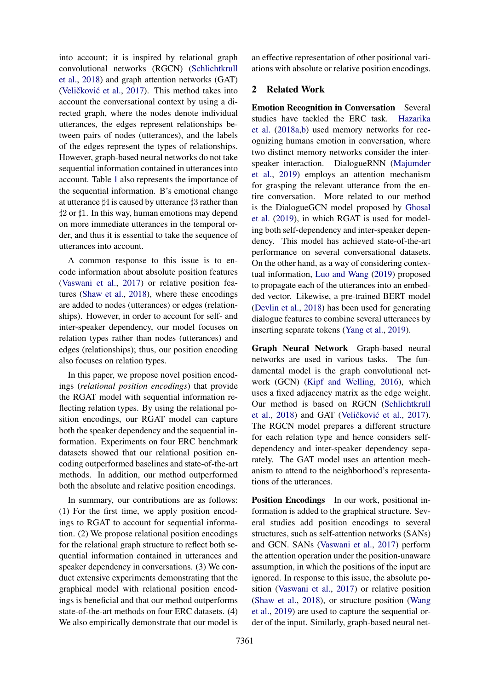into account; it is inspired by relational graph convolutional networks (RGCN) [\(Schlichtkrull](#page-9-10) [et al.,](#page-9-10) [2018\)](#page-9-10) and graph attention networks (GAT) (Veličković et al., [2017\)](#page-10-0). This method takes into account the conversational context by using a directed graph, where the nodes denote individual utterances, the edges represent relationships between pairs of nodes (utterances), and the labels of the edges represent the types of relationships. However, graph-based neural networks do not take sequential information contained in utterances into account. Table [1](#page-0-0) also represents the importance of the sequential information. B's emotional change at utterance  $\sharp 4$  is caused by utterance  $\sharp 3$  rather than  $\sharp 2$  or  $\sharp 1$ . In this way, human emotions may depend on more immediate utterances in the temporal order, and thus it is essential to take the sequence of utterances into account.

A common response to this issue is to encode information about absolute position features [\(Vaswani et al.,](#page-10-1) [2017\)](#page-10-1) or relative position features [\(Shaw et al.,](#page-10-2) [2018\)](#page-10-2), where these encodings are added to nodes (utterances) or edges (relationships). However, in order to account for self- and inter-speaker dependency, our model focuses on relation types rather than nodes (utterances) and edges (relationships); thus, our position encoding also focuses on relation types.

In this paper, we propose novel position encodings (*relational position encodings*) that provide the RGAT model with sequential information reflecting relation types. By using the relational position encodings, our RGAT model can capture both the speaker dependency and the sequential information. Experiments on four ERC benchmark datasets showed that our relational position encoding outperformed baselines and state-of-the-art methods. In addition, our method outperformed both the absolute and relative position encodings.

In summary, our contributions are as follows: (1) For the first time, we apply position encodings to RGAT to account for sequential information. (2) We propose relational position encodings for the relational graph structure to reflect both sequential information contained in utterances and speaker dependency in conversations. (3) We conduct extensive experiments demonstrating that the graphical model with relational position encodings is beneficial and that our method outperforms state-of-the-art methods on four ERC datasets. (4) We also empirically demonstrate that our model is

an effective representation of other positional variations with absolute or relative position encodings.

#### 2 Related Work

Emotion Recognition in Conversation Several studies have tackled the ERC task. [Hazarika](#page-9-11) [et al.](#page-9-11) [\(2018a,](#page-9-11)[b\)](#page-9-12) used memory networks for recognizing humans emotion in conversation, where two distinct memory networks consider the interspeaker interaction. DialogueRNN [\(Majumder](#page-9-8) [et al.,](#page-9-8) [2019\)](#page-9-8) employs an attention mechanism for grasping the relevant utterance from the entire conversation. More related to our method is the DialogueGCN model proposed by [Ghosal](#page-9-9) [et al.](#page-9-9) [\(2019\)](#page-9-9), in which RGAT is used for modeling both self-dependency and inter-speaker dependency. This model has achieved state-of-the-art performance on several conversational datasets. On the other hand, as a way of considering contextual information, [Luo and Wang](#page-9-13) [\(2019\)](#page-9-13) proposed to propagate each of the utterances into an embedded vector. Likewise, a pre-trained BERT model [\(Devlin et al.,](#page-9-14) [2018\)](#page-9-14) has been used for generating dialogue features to combine several utterances by inserting separate tokens [\(Yang et al.,](#page-10-3) [2019\)](#page-10-3).

Graph Neural Network Graph-based neural networks are used in various tasks. The fundamental model is the graph convolutional network (GCN) [\(Kipf and Welling,](#page-9-15) [2016\)](#page-9-15), which uses a fixed adjacency matrix as the edge weight. Our method is based on RGCN [\(Schlichtkrull](#page-9-10) [et al.,](#page-9-10)  $2018$ ) and GAT (Veličković et al.,  $2017$ ). The RGCN model prepares a different structure for each relation type and hence considers selfdependency and inter-speaker dependency separately. The GAT model uses an attention mechanism to attend to the neighborhood's representations of the utterances.

Position Encodings In our work, positional information is added to the graphical structure. Several studies add position encodings to several structures, such as self-attention networks (SANs) and GCN. SANs [\(Vaswani et al.,](#page-10-1) [2017\)](#page-10-1) perform the attention operation under the position-unaware assumption, in which the positions of the input are ignored. In response to this issue, the absolute position [\(Vaswani et al.,](#page-10-1) [2017\)](#page-10-1) or relative position [\(Shaw et al.,](#page-10-2) [2018\)](#page-10-2), or structure position [\(Wang](#page-10-4) [et al.,](#page-10-4) [2019\)](#page-10-4) are used to capture the sequential order of the input. Similarly, graph-based neural net-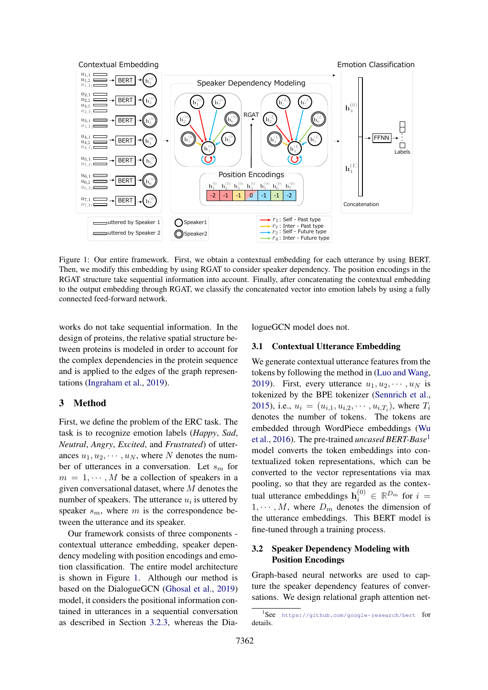<span id="page-2-0"></span>

Figure 1: Our entire framework. First, we obtain a contextual embedding for each utterance by using BERT. Then, we modify this embedding by using RGAT to consider speaker dependency. The position encodings in the RGAT structure take sequential information into account. Finally, after concatenating the contextual embedding to the output embedding through RGAT, we classify the concatenated vector into emotion labels by using a fully connected feed-forward network.

works do not take sequential information. In the design of proteins, the relative spatial structure between proteins is modeled in order to account for the complex dependencies in the protein sequence and is applied to the edges of the graph representations [\(Ingraham et al.,](#page-9-16) [2019\)](#page-9-16).

### 3 Method

First, we define the problem of the ERC task. The task is to recognize emotion labels (*Happy*, *Sad*, *Neutral*, *Angry*, *Excited*, and *Frustrated*) of utterances  $u_1, u_2, \dots, u_N$ , where N denotes the number of utterances in a conversation. Let  $s_m$  for  $m = 1, \dots, M$  be a collection of speakers in a given conversational dataset, where M denotes the number of speakers. The utterance  $u_i$  is uttered by speaker  $s_m$ , where m is the correspondence between the utterance and its speaker.

Our framework consists of three components contextual utterance embedding, speaker dependency modeling with position encodings and emotion classification. The entire model architecture is shown in Figure [1.](#page-2-0) Although our method is based on the DialogueGCN [\(Ghosal et al.,](#page-9-9) [2019\)](#page-9-9) model, it considers the positional information contained in utterances in a sequential conversation as described in Section [3.2.3,](#page-3-0) whereas the DialogueGCN model does not.

### <span id="page-2-2"></span>3.1 Contextual Utterance Embedding

We generate contextual utterance features from the tokens by following the method in [\(Luo and Wang,](#page-9-13) [2019\)](#page-9-13). First, every utterance  $u_1, u_2, \cdots, u_N$  is tokenized by the BPE tokenizer [\(Sennrich et al.,](#page-10-5) [2015\)](#page-10-5), i.e.,  $u_i = (u_{i,1}, u_{i,2}, \dots, u_{i,T_i})$ , where  $T_i$ denotes the number of tokens. The tokens are embedded through WordPiece embeddings [\(Wu](#page-10-6) [et al.,](#page-10-6) [2016\)](#page-10-6). The pre-trained *uncased BERT-Base*[1](#page-2-1) model converts the token embeddings into contextualized token representations, which can be converted to the vector representations via max pooling, so that they are regarded as the contextual utterance embeddings  $\mathbf{h}_i^{(0)} \in \mathbb{R}^{D_m}$  for  $i =$  $1, \cdots, M$ , where  $D_m$  denotes the dimension of the utterance embeddings. This BERT model is fine-tuned through a training process.

### 3.2 Speaker Dependency Modeling with Position Encodings

Graph-based neural networks are used to capture the speaker dependency features of conversations. We design relational graph attention net-

<span id="page-2-1"></span><sup>1</sup> See <https://github.com/google-research/bert> for details.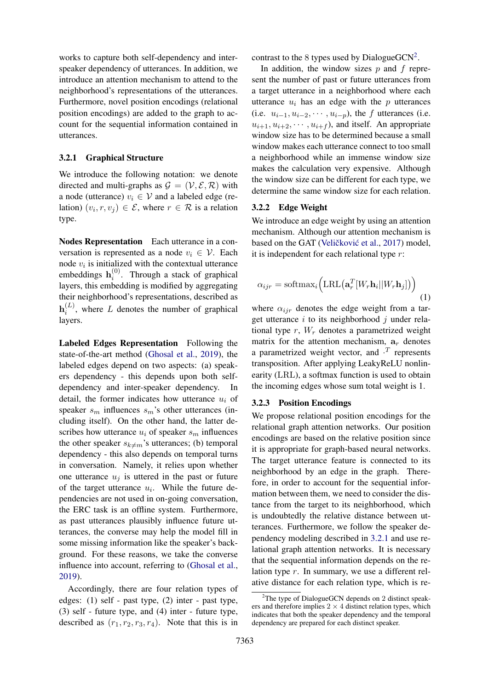works to capture both self-dependency and interspeaker dependency of utterances. In addition, we introduce an attention mechanism to attend to the neighborhood's representations of the utterances. Furthermore, novel position encodings (relational position encodings) are added to the graph to account for the sequential information contained in utterances.

### 3.2.1 Graphical Structure

We introduce the following notation: we denote directed and multi-graphs as  $\mathcal{G} = (\mathcal{V}, \mathcal{E}, \mathcal{R})$  with a node (utterance)  $v_i \in V$  and a labeled edge (relation)  $(v_i, r, v_j) \in \mathcal{E}$ , where  $r \in \mathcal{R}$  is a relation type.

Nodes Representation Each utterance in a conversation is represented as a node  $v_i \in V$ . Each node  $v_i$  is initialized with the contextual utterance embeddings  $\mathbf{h}_i^{(0)}$  $i^{(0)}$ . Through a stack of graphical layers, this embedding is modified by aggregating their neighborhood's representations, described as  $\mathbf{h}^{(L)}_i$  $i^{(L)}$ , where L denotes the number of graphical layers.

<span id="page-3-2"></span>Labeled Edges Representation Following the state-of-the-art method [\(Ghosal et al.,](#page-9-9) [2019\)](#page-9-9), the labeled edges depend on two aspects: (a) speakers dependency - this depends upon both selfdependency and inter-speaker dependency. In detail, the former indicates how utterance  $u_i$  of speaker  $s_m$  influences  $s_m$ 's other utterances (including itself). On the other hand, the latter describes how utterance  $u_i$  of speaker  $s_m$  influences the other speaker  $s_{k\neq m}$ 's utterances; (b) temporal dependency - this also depends on temporal turns in conversation. Namely, it relies upon whether one utterance  $u_i$  is uttered in the past or future of the target utterance  $u_i$ . While the future dependencies are not used in on-going conversation, the ERC task is an offline system. Furthermore, as past utterances plausibly influence future utterances, the converse may help the model fill in some missing information like the speaker's background. For these reasons, we take the converse influence into account, referring to [\(Ghosal et al.,](#page-9-9) [2019\)](#page-9-9).

Accordingly, there are four relation types of edges: (1) self - past type, (2) inter - past type, (3) self - future type, and (4) inter - future type, described as  $(r_1, r_2, r_3, r_4)$ . Note that this is in

contrast to the 8 types used by DialogueGCN<sup>[2](#page-3-1)</sup>.

In addition, the window sizes  $p$  and  $f$  represent the number of past or future utterances from a target utterance in a neighborhood where each utterance  $u_i$  has an edge with the  $p$  utterances (i.e.  $u_{i-1}, u_{i-2}, \cdots, u_{i-p}$ ), the f utterances (i.e.  $u_{i+1}, u_{i+2}, \cdots, u_{i+f}$ , and itself. An appropriate window size has to be determined because a small window makes each utterance connect to too small a neighborhood while an immense window size makes the calculation very expensive. Although the window size can be different for each type, we determine the same window size for each relation.

#### 3.2.2 Edge Weight

We introduce an edge weight by using an attention mechanism. Although our attention mechanism is based on the GAT (Veličković et al., [2017\)](#page-10-0) model, it is independent for each relational type  $r$ :

<span id="page-3-3"></span>
$$
\alpha_{ijr} = \text{softmax}_i \Big( \text{LRL} \big( \mathbf{a}_r^T [W_r \mathbf{h}_i || W_r \mathbf{h}_j] \big) \Big) \tag{1}
$$

where  $\alpha_{ijr}$  denotes the edge weight from a target utterance  $i$  to its neighborhood  $j$  under relational type  $r$ ,  $W_r$  denotes a parametrized weight matrix for the attention mechanism,  $a_r$  denotes a parametrized weight vector, and  $\cdot^T$  represents transposition. After applying LeakyReLU nonlinearity (LRL), a softmax function is used to obtain the incoming edges whose sum total weight is 1.

### <span id="page-3-0"></span>3.2.3 Position Encodings

We propose relational position encodings for the relational graph attention networks. Our position encodings are based on the relative position since it is appropriate for graph-based neural networks. The target utterance feature is connected to its neighborhood by an edge in the graph. Therefore, in order to account for the sequential information between them, we need to consider the distance from the target to its neighborhood, which is undoubtedly the relative distance between utterances. Furthermore, we follow the speaker dependency modeling described in [3.2.1](#page-3-2) and use relational graph attention networks. It is necessary that the sequential information depends on the relation type r. In summary, we use a different relative distance for each relation type, which is re-

<span id="page-3-1"></span> $2$ The type of DialogueGCN depends on 2 distinct speakers and therefore implies  $2 \times 4$  distinct relation types, which indicates that both the speaker dependency and the temporal dependency are prepared for each distinct speaker.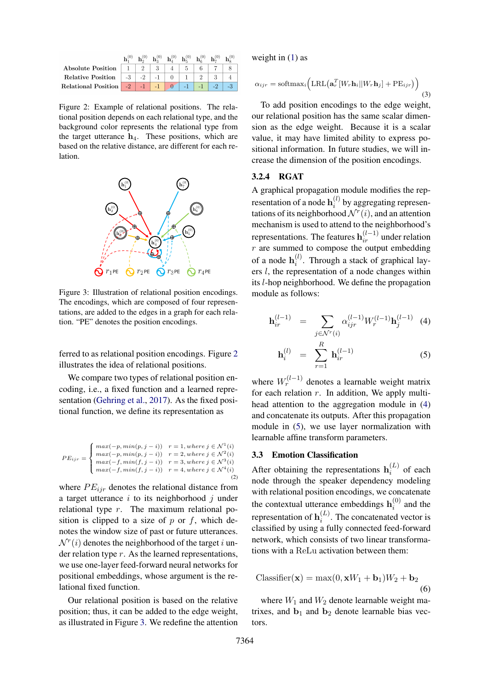<span id="page-4-0"></span>

|                               |      |      |      | ${\bf h}^{(0)}_{2} - {\bf h}^{(0)}_{4} - {\bf h}^{(0)}_{5} - {\bf h}^{(0)}_{c}$ |         | $h_{n}^{(0)}$ |  |
|-------------------------------|------|------|------|---------------------------------------------------------------------------------|---------|---------------|--|
| <b>Absolute Position</b>      |      |      |      |                                                                                 |         |               |  |
| Relative Position             | $-3$ | $-2$ |      |                                                                                 |         |               |  |
| Relational Position $-2$ $-1$ |      |      | $-1$ |                                                                                 | $\P$ la |               |  |

Figure 2: Example of relational positions. The relational position depends on each relational type, and the background color represents the relational type from the target utterance  $h_4$ . These positions, which are based on the relative distance, are different for each relation.

<span id="page-4-1"></span>

Figure 3: Illustration of relational position encodings. The encodings, which are composed of four representations, are added to the edges in a graph for each relation. "PE" denotes the position encodings.

ferred to as relational position encodings. Figure [2](#page-4-0) illustrates the idea of relational positions.

We compare two types of relational position encoding, i.e., a fixed function and a learned representation [\(Gehring et al.,](#page-9-17) [2017\)](#page-9-17). As the fixed positional function, we define its representation as

$$
PE_{ijr} = \begin{cases} max(-p, min(p, j - i)) & r = 1, where j \in \mathcal{N}^1(i) \\ max(-p, min(p, j - i)) & r = 2, where j \in \mathcal{N}^2(i) \\ max(-f, min(f, j - i)) & r = 3, where j \in \mathcal{N}^3(i) \\ max(-f, min(f, j - i)) & r = 4, where j \in \mathcal{N}^4(i) \end{cases}
$$
(2)

where  $PE_{ijr}$  denotes the relational distance from a target utterance  $i$  to its neighborhood  $j$  under relational type r. The maximum relational position is clipped to a size of  $p$  or  $f$ , which denotes the window size of past or future utterances.  $\mathcal{N}^r(i)$  denotes the neighborhood of the target i under relation type  $r$ . As the learned representations, we use one-layer feed-forward neural networks for positional embeddings, whose argument is the relational fixed function.

Our relational position is based on the relative position; thus, it can be added to the edge weight, as illustrated in Figure [3.](#page-4-1) We redefine the attention

weight in  $(1)$  as

$$
\alpha_{ijr} = \text{softmax}_i \Big( \text{LRL} \big( \mathbf{a}_r^T [W_r \mathbf{h}_i || W_r \mathbf{h}_j] + \text{PE}_{ijr} \big) \Big) \tag{3}
$$

To add position encodings to the edge weight, our relational position has the same scalar dimension as the edge weight. Because it is a scalar value, it may have limited ability to express positional information. In future studies, we will increase the dimension of the position encodings.

#### 3.2.4 RGAT

A graphical propagation module modifies the representation of a node  $\mathbf{h}_i^{(l)}$  $i^{(i)}$  by aggregating representations of its neighborhood  $\mathcal{N}^r(i)$ , and an attention mechanism is used to attend to the neighborhood's representations. The features  $\mathbf{h}_{ir}^{(l-1)}$  under relation  $r$  are summed to compose the output embedding of a node  $\mathbf{h}_i^{(l)}$  $i^{(i)}$ . Through a stack of graphical layers l, the representation of a node changes within its l-hop neighborhood. We define the propagation module as follows:

<span id="page-4-2"></span>
$$
\mathbf{h}_{ir}^{(l-1)} = \sum_{j \in \mathcal{N}^r(i)} \alpha_{ijr}^{(l-1)} W_r^{(l-1)} \mathbf{h}_j^{(l-1)} \tag{4}
$$

$$
\mathbf{h}_i^{(l)} = \sum_{r=1}^R \mathbf{h}_{ir}^{(l-1)} \tag{5}
$$

where  $W_r^{(l-1)}$  denotes a learnable weight matrix for each relation  $r$ . In addition, We apply multihead attention to the aggregation module in [\(4\)](#page-4-2) and concatenate its outputs. After this propagation module in [\(5\)](#page-4-2), we use layer normalization with learnable affine transform parameters.

# <span id="page-4-3"></span>3.3 Emotion Classification

After obtaining the representations  $\mathbf{h}_i^{(L)}$  $i^{(L)}$  of each node through the speaker dependency modeling with relational position encodings, we concatenate the contextual utterance embeddings  $h_i^{(0)}$  $i^{(0)}$  and the representation of  $\mathbf{h}_i^{(L)}$  $i^{(L)}$ . The concatenated vector is classified by using a fully connected feed-forward network, which consists of two linear transformations with a ReLu activation between them:

$$
\text{Classifier}(\mathbf{x}) = \max(0, \mathbf{x}W_1 + \mathbf{b}_1)W_2 + \mathbf{b}_2
$$
\n(6)

where  $W_1$  and  $W_2$  denote learnable weight matrixes, and  $\mathbf{b}_1$  and  $\mathbf{b}_2$  denote learnable bias vectors.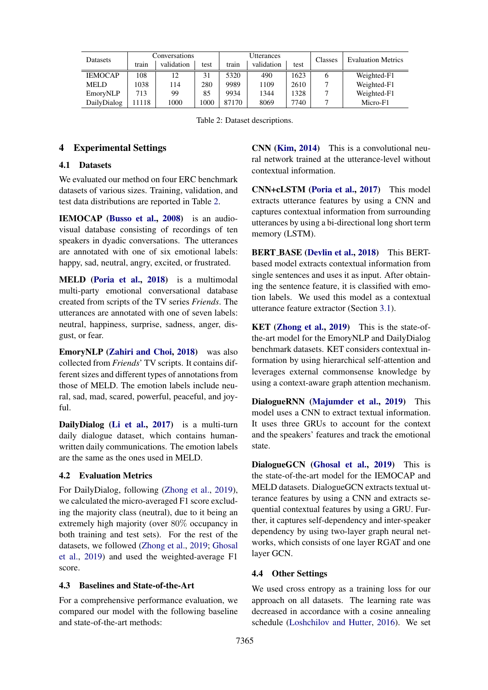<span id="page-5-0"></span>

| Datasets       | Conversations |            |      | Utterances |            |      | Classes | <b>Evaluation Metrics</b> |  |
|----------------|---------------|------------|------|------------|------------|------|---------|---------------------------|--|
|                | train         | validation | test | train      | validation | test |         |                           |  |
| <b>IEMOCAP</b> | 108           | 12         | 31   | 5320       | 490        | 1623 |         | Weighted-F1               |  |
| <b>MELD</b>    | 1038          | 114        | 280  | 9989       | 1109       | 2610 |         | Weighted-F1               |  |
| EmoryNLP       | 713           | 99         | 85   | 9934       | 1344       | 1328 |         | Weighted-F1               |  |
| DailyDialog    | 1118          | 000        | 000  | 87170      | 8069       | 7740 |         | Micro-F1                  |  |

Table 2: Dataset descriptions.

### 4 Experimental Settings

### 4.1 Datasets

We evaluated our method on four ERC benchmark datasets of various sizes. Training, validation, and test data distributions are reported in Table [2.](#page-5-0)

IEMOCAP [\(Busso et al.,](#page-9-6) [2008\)](#page-9-6) is an audiovisual database consisting of recordings of ten speakers in dyadic conversations. The utterances are annotated with one of six emotional labels: happy, sad, neutral, angry, excited, or frustrated.

MELD [\(Poria et al.,](#page-9-18) [2018\)](#page-9-18) is a multimodal multi-party emotional conversational database created from scripts of the TV series *Friends*. The utterances are annotated with one of seven labels: neutral, happiness, surprise, sadness, anger, disgust, or fear.

EmoryNLP [\(Zahiri and Choi,](#page-10-7) [2018\)](#page-10-7) was also collected from *Friends*' TV scripts. It contains different sizes and different types of annotations from those of MELD. The emotion labels include neural, sad, mad, scared, powerful, peaceful, and joyful.

DailyDialog [\(Li et al.,](#page-9-19) [2017\)](#page-9-19) is a multi-turn daily dialogue dataset, which contains humanwritten daily communications. The emotion labels are the same as the ones used in MELD.

### 4.2 Evaluation Metrics

For DailyDialog, following [\(Zhong et al.,](#page-10-8) [2019\)](#page-10-8), we calculated the micro-averaged F1 score excluding the majority class (neutral), due to it being an extremely high majority (over 80% occupancy in both training and test sets). For the rest of the datasets, we followed [\(Zhong et al.,](#page-10-8) [2019;](#page-10-8) [Ghosal](#page-9-9) [et al.,](#page-9-9) [2019\)](#page-9-9) and used the weighted-average F1 score.

#### 4.3 Baselines and State-of-the-Art

For a comprehensive performance evaluation, we compared our model with the following baseline and state-of-the-art methods:

CNN [\(Kim,](#page-9-20) [2014\)](#page-9-20) This is a convolutional neural network trained at the utterance-level without contextual information.

CNN+cLSTM [\(Poria et al.,](#page-9-21) [2017\)](#page-9-21) This model extracts utterance features by using a CNN and captures contextual information from surrounding utterances by using a bi-directional long short term memory (LSTM).

BERT\_BASE [\(Devlin et al.,](#page-9-14) [2018\)](#page-9-14) This BERTbased model extracts contextual information from single sentences and uses it as input. After obtaining the sentence feature, it is classified with emotion labels. We used this model as a contextual utterance feature extractor (Section [3.1\)](#page-2-2).

KET [\(Zhong et al.,](#page-10-8) [2019\)](#page-10-8) This is the state-ofthe-art model for the EmoryNLP and DailyDialog benchmark datasets. KET considers contextual information by using hierarchical self-attention and leverages external commonsense knowledge by using a context-aware graph attention mechanism.

<span id="page-5-1"></span>DialogueRNN [\(Majumder et al.,](#page-9-8) [2019\)](#page-9-8) This model uses a CNN to extract textual information. It uses three GRUs to account for the context and the speakers' features and track the emotional state.

<span id="page-5-2"></span>DialogueGCN [\(Ghosal et al.,](#page-9-9) [2019\)](#page-9-9) This is the state-of-the-art model for the IEMOCAP and MELD datasets. DialogueGCN extracts textual utterance features by using a CNN and extracts sequential contextual features by using a GRU. Further, it captures self-dependency and inter-speaker dependency by using two-layer graph neural networks, which consists of one layer RGAT and one layer GCN.

### 4.4 Other Settings

We used cross entropy as a training loss for our approach on all datasets. The learning rate was decreased in accordance with a cosine annealing schedule [\(Loshchilov and Hutter,](#page-9-22) [2016\)](#page-9-22). We set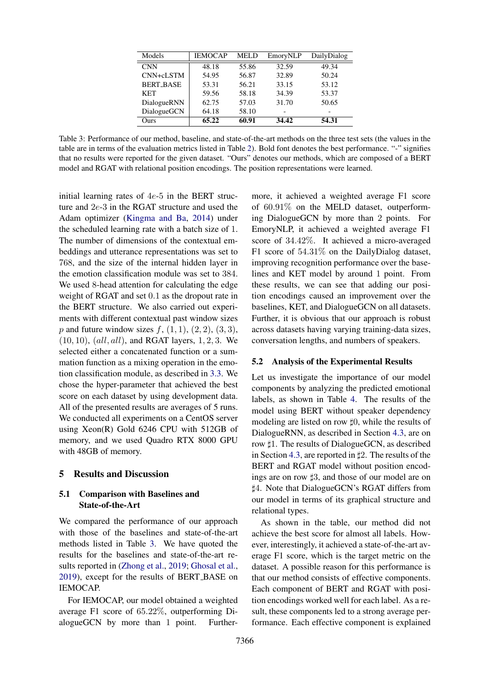<span id="page-6-0"></span>

| Models           | <b>IEMOCAP</b> | <b>MELD</b> | EmoryNLP | DailyDialog |
|------------------|----------------|-------------|----------|-------------|
| <b>CNN</b>       | 48.18          | 55.86       | 32.59    | 49.34       |
| CNN+cLSTM        | 54.95          | 56.87       | 32.89    | 50.24       |
| <b>BERT BASE</b> | 53.31          | 56.21       | 33.15    | 53.12       |
| <b>KET</b>       | 59.56          | 58.18       | 34.39    | 53.37       |
| DialogueRNN      | 62.75          | 57.03       | 31.70    | 50.65       |
| DialogueGCN      | 64.18          | 58.10       |          |             |
| Ours             | 65.22          | 60.91       | 34.42    | 54.31       |

Table 3: Performance of our method, baseline, and state-of-the-art methods on the three test sets (the values in the table are in terms of the evaluation metrics listed in Table [2\)](#page-5-0). Bold font denotes the best performance. "-" signifies that no results were reported for the given dataset. "Ours" denotes our methods, which are composed of a BERT model and RGAT with relational position encodings. The position representations were learned.

initial learning rates of  $4e-5$  in the BERT structure and 2e-3 in the RGAT structure and used the Adam optimizer [\(Kingma and Ba,](#page-9-23) [2014\)](#page-9-23) under the scheduled learning rate with a batch size of 1. The number of dimensions of the contextual embeddings and utterance representations was set to 768, and the size of the internal hidden layer in the emotion classification module was set to 384. We used 8-head attention for calculating the edge weight of RGAT and set 0.1 as the dropout rate in the BERT structure. We also carried out experiments with different contextual past window sizes *p* and future window sizes  $f$ ,  $(1, 1)$ ,  $(2, 2)$ ,  $(3, 3)$ ,  $(10, 10)$ ,  $(all, all)$ , and RGAT layers, 1, 2, 3. We selected either a concatenated function or a summation function as a mixing operation in the emotion classification module, as described in [3.3.](#page-4-3) We chose the hyper-parameter that achieved the best score on each dataset by using development data. All of the presented results are averages of 5 runs. We conducted all experiments on a CentOS server using Xeon(R) Gold 6246 CPU with 512GB of memory, and we used Quadro RTX 8000 GPU with 48GB of memory.

# 5 Results and Discussion

# 5.1 Comparison with Baselines and State-of-the-Art

We compared the performance of our approach with those of the baselines and state-of-the-art methods listed in Table [3.](#page-6-0) We have quoted the results for the baselines and state-of-the-art results reported in [\(Zhong et al.,](#page-10-8) [2019;](#page-10-8) [Ghosal et al.,](#page-9-9) [2019\)](#page-9-9), except for the results of BERT BASE on IEMOCAP.

For IEMOCAP, our model obtained a weighted average F1 score of 65.22%, outperforming DialogueGCN by more than 1 point. Further-

more, it achieved a weighted average F1 score of 60.91% on the MELD dataset, outperforming DialogueGCN by more than 2 points. For EmoryNLP, it achieved a weighted average F1 score of 34.42%. It achieved a micro-averaged F1 score of 54.31% on the DailyDialog dataset, improving recognition performance over the baselines and KET model by around 1 point. From these results, we can see that adding our position encodings caused an improvement over the baselines, KET, and DialogueGCN on all datasets. Further, it is obvious that our approach is robust across datasets having varying training-data sizes, conversation lengths, and numbers of speakers.

#### 5.2 Analysis of the Experimental Results

Let us investigate the importance of our model components by analyzing the predicted emotional labels, as shown in Table [4.](#page-7-0) The results of the model using BERT without speaker dependency modeling are listed on row  $\sharp 0$ , while the results of DialogueRNN, as described in Section [4.3,](#page-5-1) are on row  $\sharp$ 1. The results of DialogueGCN, as described in Section [4.3,](#page-5-2) are reported in  $\sharp 2$ . The results of the BERT and RGAT model without position encodings are on row  $\sharp 3$ , and those of our model are on ]4. Note that DialogueGCN's RGAT differs from our model in terms of its graphical structure and relational types.

As shown in the table, our method did not achieve the best score for almost all labels. However, interestingly, it achieved a state-of-the-art average F1 score, which is the target metric on the dataset. A possible reason for this performance is that our method consists of effective components. Each component of BERT and RGAT with position encodings worked well for each label. As a result, these components led to a strong average performance. Each effective component is explained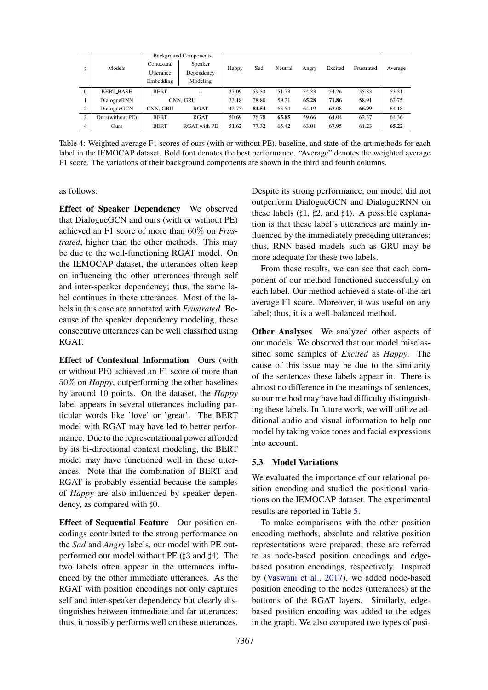<span id="page-7-0"></span>

|              | Models           | <b>Background Components</b> |                     |       |       |         |       |         |            |         |
|--------------|------------------|------------------------------|---------------------|-------|-------|---------|-------|---------|------------|---------|
| Ħ            |                  | Contextual                   | Speaker             | Happy | Sad   | Neutral | Angry | Excited | Frustrated | Average |
|              |                  | Utterance                    | Dependency          |       |       |         |       |         |            |         |
|              |                  | Embedding                    | Modeling            |       |       |         |       |         |            |         |
| $\mathbf{0}$ | <b>BERT_BASE</b> | <b>BERT</b>                  | $\times$            | 37.09 | 59.53 | 51.73   | 54.33 | 54.26   | 55.83      | 53.31   |
|              | DialogueRNN      |                              | CNN. GRU            | 33.18 | 78.80 | 59.21   | 65.28 | 71.86   | 58.91      | 62.75   |
| 2            | DialogueGCN      | CNN. GRU                     | RGAT                | 42.75 | 84.54 | 63.54   | 64.19 | 63.08   | 66.99      | 64.18   |
| 3            | Ours(without PE) | <b>BERT</b>                  | <b>RGAT</b>         | 50.69 | 76.78 | 65.85   | 59.66 | 64.04   | 62.37      | 64.36   |
| 4            | Ours             | <b>BERT</b>                  | <b>RGAT</b> with PE | 51.62 | 77.32 | 65.42   | 63.01 | 67.95   | 61.23      | 65.22   |

Table 4: Weighted average F1 scores of ours (with or without PE), baseline, and state-of-the-art methods for each label in the IEMOCAP dataset. Bold font denotes the best performance. "Average" denotes the weighted average F1 score. The variations of their background components are shown in the third and fourth columns.

as follows:

Effect of Speaker Dependency We observed that DialogueGCN and ours (with or without PE) achieved an F1 score of more than 60% on *Frustrated*, higher than the other methods. This may be due to the well-functioning RGAT model. On the IEMOCAP dataset, the utterances often keep on influencing the other utterances through self and inter-speaker dependency; thus, the same label continues in these utterances. Most of the labels in this case are annotated with *Frustrated*. Because of the speaker dependency modeling, these consecutive utterances can be well classified using RGAT.

Effect of Contextual Information Ours (with or without PE) achieved an F1 score of more than 50% on *Happy*, outperforming the other baselines by around 10 points. On the dataset, the *Happy* label appears in several utterances including particular words like 'love' or 'great'. The BERT model with RGAT may have led to better performance. Due to the representational power afforded by its bi-directional context modeling, the BERT model may have functioned well in these utterances. Note that the combination of BERT and RGAT is probably essential because the samples of *Happy* are also influenced by speaker dependency, as compared with  $\sharp 0$ .

Effect of Sequential Feature Our position encodings contributed to the strong performance on the *Sad* and *Angry* labels, our model with PE outperformed our model without PE  $($ {13} and  $|$ 14). The two labels often appear in the utterances influenced by the other immediate utterances. As the RGAT with position encodings not only captures self and inter-speaker dependency but clearly distinguishes between immediate and far utterances; thus, it possibly performs well on these utterances.

Despite its strong performance, our model did not outperform DialogueGCN and DialogueRNN on these labels ( $\sharp$ 1,  $\sharp$ 2, and  $\sharp$ 4). A possible explanation is that these label's utterances are mainly influenced by the immediately preceding utterances; thus, RNN-based models such as GRU may be more adequate for these two labels.

From these results, we can see that each component of our method functioned successfully on each label. Our method achieved a state-of-the-art average F1 score. Moreover, it was useful on any label; thus, it is a well-balanced method.

Other Analyses We analyzed other aspects of our models. We observed that our model misclassified some samples of *Excited* as *Happy*. The cause of this issue may be due to the similarity of the sentences these labels appear in. There is almost no difference in the meanings of sentences, so our method may have had difficulty distinguishing these labels. In future work, we will utilize additional audio and visual information to help our model by taking voice tones and facial expressions into account.

#### 5.3 Model Variations

We evaluated the importance of our relational position encoding and studied the positional variations on the IEMOCAP dataset. The experimental results are reported in Table [5.](#page-8-0)

To make comparisons with the other position encoding methods, absolute and relative position representations were prepared; these are referred to as node-based position encodings and edgebased position encodings, respectively. Inspired by [\(Vaswani et al.,](#page-10-1) [2017\)](#page-10-1), we added node-based position encoding to the nodes (utterances) at the bottoms of the RGAT layers. Similarly, edgebased position encoding was added to the edges in the graph. We also compared two types of posi-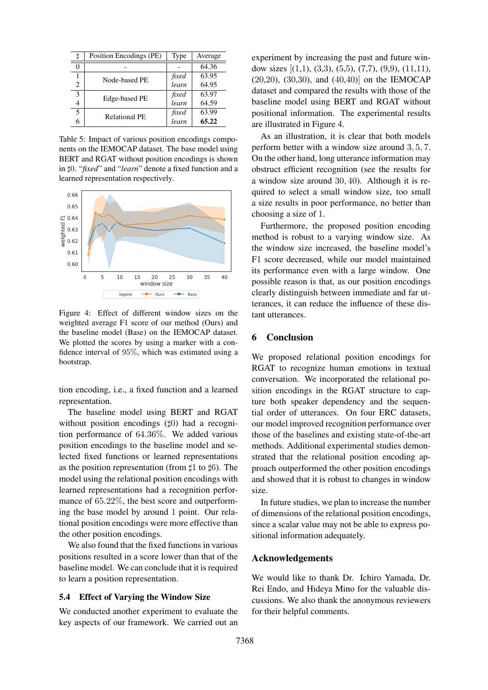<span id="page-8-0"></span>

| ij             | Position Encodings (PE) | Type       | Average |
|----------------|-------------------------|------------|---------|
|                |                         |            | 64.36   |
|                | Node-based PE           | fixed      | 63.95   |
| $\overline{c}$ |                         | learn      | 64.95   |
| 3              | Edge-based PE           | fixed      | 63.97   |
| 4              |                         | learn      | 64.59   |
| 5              | <b>Relational PE</b>    | fixed      | 63.99   |
|                |                         | .<br>learn | 65.22   |

Table 5: Impact of various position encodings components on the IEMOCAP dataset. The base model using BERT and RGAT without position encodings is shown in  $\sharp 0$ . "*fixed*" and "*learn*" denote a fixed function and a learned representation respectively.

<span id="page-8-1"></span>

Figure 4: Effect of different window sizes on the weighted average F1 score of our method (Ours) and the baseline model (Base) on the IEMOCAP dataset. We plotted the scores by using a marker with a confidence interval of 95%, which was estimated using a bootstrap.

tion encoding, i.e., a fixed function and a learned representation.

The baseline model using BERT and RGAT without position encodings  $(|\phi|)$  had a recognition performance of 64.36%. We added various position encodings to the baseline model and selected fixed functions or learned representations as the position representation (from  $\sharp 1$  to  $\sharp 6$ ). The model using the relational position encodings with learned representations had a recognition performance of 65.22%, the best score and outperforming the base model by around 1 point. Our relational position encodings were more effective than the other position encodings.

We also found that the fixed functions in various positions resulted in a score lower than that of the baseline model. We can conclude that it is required to learn a position representation.

### 5.4 Effect of Varying the Window Size

We conducted another experiment to evaluate the key aspects of our framework. We carried out an experiment by increasing the past and future window sizes [(1,1), (3,3), (5,5), (7,7), (9,9), (11,11), (20,20), (30,30), and (40,40)] on the IEMOCAP dataset and compared the results with those of the baseline model using BERT and RGAT without positional information. The experimental results are illustrated in Figure [4.](#page-8-1)

As an illustration, it is clear that both models perform better with a window size around 3, 5, 7. On the other hand, long utterance information may obstruct efficient recognition (see the results for a window size around 30, 40). Although it is required to select a small window size, too small a size results in poor performance, no better than choosing a size of 1.

Furthermore, the proposed position encoding method is robust to a varying window size. As the window size increased, the baseline model's F1 score decreased, while our model maintained its performance even with a large window. One possible reason is that, as our position encodings clearly distinguish between immediate and far utterances, it can reduce the influence of these distant utterances.

# 6 Conclusion

We proposed relational position encodings for RGAT to recognize human emotions in textual conversation. We incorporated the relational position encodings in the RGAT structure to capture both speaker dependency and the sequential order of utterances. On four ERC datasets, our model improved recognition performance over those of the baselines and existing state-of-the-art methods. Additional experimental studies demonstrated that the relational position encoding approach outperformed the other position encodings and showed that it is robust to changes in window size.

In future studies, we plan to increase the number of dimensions of the relational position encodings, since a scalar value may not be able to express positional information adequately.

### Acknowledgements

We would like to thank Dr. Ichiro Yamada, Dr. Rei Endo, and Hideya Mino for the valuable discussions. We also thank the anonymous reviewers for their helpful comments.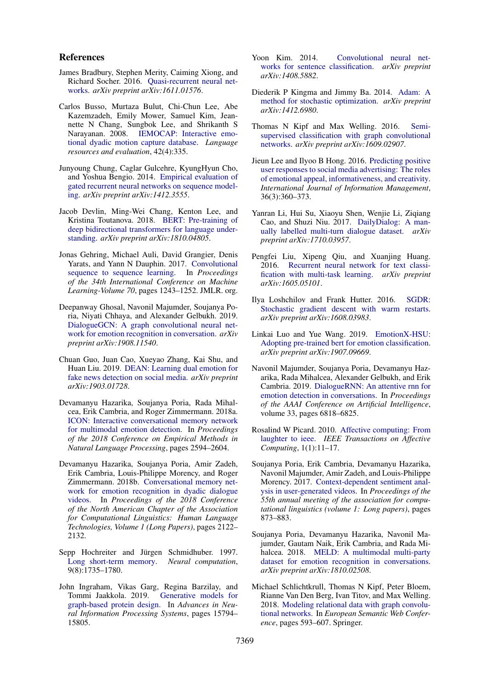#### References

- <span id="page-9-7"></span>James Bradbury, Stephen Merity, Caiming Xiong, and Richard Socher. 2016. [Quasi-recurrent neural net](https://arxiv.org/abs/1611.01576)[works.](https://arxiv.org/abs/1611.01576) *arXiv preprint arXiv:1611.01576*.
- <span id="page-9-6"></span>Carlos Busso, Murtaza Bulut, Chi-Chun Lee, Abe Kazemzadeh, Emily Mower, Samuel Kim, Jeannette N Chang, Sungbok Lee, and Shrikanth S Narayanan. 2008. [IEMOCAP: Interactive emo](https://doi.org/10.1007/s10579-008-9076-6)[tional dyadic motion capture database.](https://doi.org/10.1007/s10579-008-9076-6) *Language resources and evaluation*, 42(4):335.
- <span id="page-9-4"></span>Junyoung Chung, Caglar Gulcehre, KyungHyun Cho, and Yoshua Bengio. 2014. [Empirical evaluation of](https://arxiv.org/abs/1412.3555) [gated recurrent neural networks on sequence model](https://arxiv.org/abs/1412.3555)[ing.](https://arxiv.org/abs/1412.3555) *arXiv preprint arXiv:1412.3555*.
- <span id="page-9-14"></span>Jacob Devlin, Ming-Wei Chang, Kenton Lee, and Kristina Toutanova. 2018. [BERT: Pre-training of](https://doi.org/10.18653/v1/N19-1423) [deep bidirectional transformers for language under](https://doi.org/10.18653/v1/N19-1423)[standing.](https://doi.org/10.18653/v1/N19-1423) *arXiv preprint arXiv:1810.04805*.
- <span id="page-9-17"></span>Jonas Gehring, Michael Auli, David Grangier, Denis Yarats, and Yann N Dauphin. 2017. [Convolutional](https://arxiv.org/abs/1705.03122) [sequence to sequence learning.](https://arxiv.org/abs/1705.03122) In *Proceedings of the 34th International Conference on Machine Learning-Volume 70*, pages 1243–1252. JMLR. org.
- <span id="page-9-9"></span>Deepanway Ghosal, Navonil Majumder, Soujanya Poria, Niyati Chhaya, and Alexander Gelbukh. 2019. [DialogueGCN: A graph convolutional neural net](https://doi.org/10.18653/v1/D19-1015)[work for emotion recognition in conversation.](https://doi.org/10.18653/v1/D19-1015) *arXiv preprint arXiv:1908.11540*.
- <span id="page-9-2"></span>Chuan Guo, Juan Cao, Xueyao Zhang, Kai Shu, and Huan Liu. 2019. [DEAN: Learning dual emotion for](http://arxiv.org/abs/1903.01728) [fake news detection on social media.](http://arxiv.org/abs/1903.01728) *arXiv preprint arXiv:1903.01728*.
- <span id="page-9-11"></span>Devamanyu Hazarika, Soujanya Poria, Rada Mihalcea, Erik Cambria, and Roger Zimmermann. 2018a. [ICON: Interactive conversational memory network](https://doi.org/10.18653/v1/D18-1280) [for multimodal emotion detection.](https://doi.org/10.18653/v1/D18-1280) In *Proceedings of the 2018 Conference on Empirical Methods in Natural Language Processing*, pages 2594–2604.
- <span id="page-9-12"></span>Devamanyu Hazarika, Soujanya Poria, Amir Zadeh, Erik Cambria, Louis-Philippe Morency, and Roger Zimmermann. 2018b. [Conversational memory net](https://doi.org/10.18653/v1/N18-1193)[work for emotion recognition in dyadic dialogue](https://doi.org/10.18653/v1/N18-1193) [videos.](https://doi.org/10.18653/v1/N18-1193) In *Proceedings of the 2018 Conference of the North American Chapter of the Association for Computational Linguistics: Human Language Technologies, Volume 1 (Long Papers)*, pages 2122– 2132.
- <span id="page-9-3"></span>Sepp Hochreiter and Jürgen Schmidhuber. 1997. [Long short-term memory.](https://doi.org/10.1162/neco.1997.9.8.1735) *Neural computation*, 9(8):1735–1780.
- <span id="page-9-16"></span>John Ingraham, Vikas Garg, Regina Barzilay, and Tommi Jaakkola. 2019. [Generative models for](https://papers.nips.cc/paper/9711-generative-models-for-graph-based-protein-design.pdf) [graph-based protein design.](https://papers.nips.cc/paper/9711-generative-models-for-graph-based-protein-design.pdf) In *Advances in Neural Information Processing Systems*, pages 15794– 15805.
- <span id="page-9-20"></span>Yoon Kim. 2014. [Convolutional neural net](https://doi.org/10.3115/v1/D14-1181)[works for sentence classification.](https://doi.org/10.3115/v1/D14-1181) *arXiv preprint arXiv:1408.5882*.
- <span id="page-9-23"></span>Diederik P Kingma and Jimmy Ba. 2014. [Adam: A](https://arxiv.org/abs/1412.6980) [method for stochastic optimization.](https://arxiv.org/abs/1412.6980) *arXiv preprint arXiv:1412.6980*.
- <span id="page-9-15"></span>Thomas N Kipf and Max Welling. 2016. [Semi](https://arxiv.org/abs/1609.02907)[supervised classification with graph convolutional](https://arxiv.org/abs/1609.02907) [networks.](https://arxiv.org/abs/1609.02907) *arXiv preprint arXiv:1609.02907*.
- <span id="page-9-1"></span>Jieun Lee and Ilyoo B Hong. 2016. [Predicting positive](https://doi.org/10.1016/j.ijinfomgt.2016.01.001) [user responses to social media advertising: The roles](https://doi.org/10.1016/j.ijinfomgt.2016.01.001) [of emotional appeal, informativeness, and creativity.](https://doi.org/10.1016/j.ijinfomgt.2016.01.001) *International Journal of Information Management*, 36(3):360–373.
- <span id="page-9-19"></span>Yanran Li, Hui Su, Xiaoyu Shen, Wenjie Li, Ziqiang Cao, and Shuzi Niu. 2017. [DailyDialog: A man](https://www.aclweb.org/anthology/I17-1099/)[ually labelled multi-turn dialogue dataset.](https://www.aclweb.org/anthology/I17-1099/) *arXiv preprint arXiv:1710.03957*.
- <span id="page-9-5"></span>Pengfei Liu, Xipeng Qiu, and Xuanjing Huang. 2016. [Recurrent neural network for text classi](https://arxiv.org/abs/1605.05101)[fication with multi-task learning.](https://arxiv.org/abs/1605.05101) *arXiv preprint arXiv:1605.05101*.
- <span id="page-9-22"></span>Ilya Loshchilov and Frank Hutter. 2016. [SGDR:](https://arxiv.org/abs/1608.03983) [Stochastic gradient descent with warm restarts.](https://arxiv.org/abs/1608.03983) *arXiv preprint arXiv:1608.03983*.
- <span id="page-9-13"></span>Linkai Luo and Yue Wang. 2019. [EmotionX-HSU:](https://arxiv.org/abs/1907.09669) [Adopting pre-trained bert for emotion classification.](https://arxiv.org/abs/1907.09669) *arXiv preprint arXiv:1907.09669*.
- <span id="page-9-8"></span>Navonil Majumder, Soujanya Poria, Devamanyu Hazarika, Rada Mihalcea, Alexander Gelbukh, and Erik Cambria. 2019. [DialogueRNN: An attentive rnn for](https://doi.org/10.1609/aaai.v33i01.33016818) [emotion detection in conversations.](https://doi.org/10.1609/aaai.v33i01.33016818) In *Proceedings of the AAAI Conference on Artificial Intelligence*, volume 33, pages 6818–6825.
- <span id="page-9-0"></span>Rosalind W Picard. 2010. [Affective computing: From](https://doi.org/10.1109/T-AFFC.2010.10) [laughter to ieee.](https://doi.org/10.1109/T-AFFC.2010.10) *IEEE Transactions on Affective Computing*, 1(1):11–17.
- <span id="page-9-21"></span>Soujanya Poria, Erik Cambria, Devamanyu Hazarika, Navonil Majumder, Amir Zadeh, and Louis-Philippe Morency. 2017. [Context-dependent sentiment anal](https://doi.org/10.18653/v1/P17-1081)[ysis in user-generated videos.](https://doi.org/10.18653/v1/P17-1081) In *Proceedings of the 55th annual meeting of the association for computational linguistics (volume 1: Long papers)*, pages 873–883.
- <span id="page-9-18"></span>Soujanya Poria, Devamanyu Hazarika, Navonil Majumder, Gautam Naik, Erik Cambria, and Rada Mihalcea. 2018. [MELD: A multimodal multi-party](https://doi.org/10.18653/v1/P19-1050) [dataset for emotion recognition in conversations.](https://doi.org/10.18653/v1/P19-1050) *arXiv preprint arXiv:1810.02508*.
- <span id="page-9-10"></span>Michael Schlichtkrull, Thomas N Kipf, Peter Bloem, Rianne Van Den Berg, Ivan Titov, and Max Welling. 2018. [Modeling relational data with graph convolu](https://doi.org/10.1007/978-3-319-93417-4_38)[tional networks.](https://doi.org/10.1007/978-3-319-93417-4_38) In *European Semantic Web Conference*, pages 593–607. Springer.